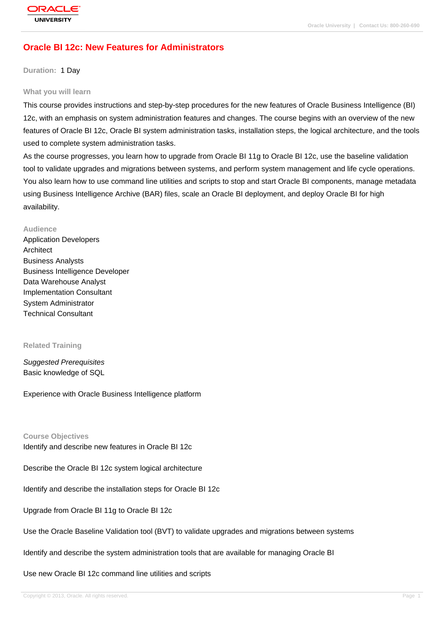# **[Oracle BI 12c:](http://education.oracle.com/pls/web_prod-plq-dad/db_pages.getpage?page_id=3) New Features for Administrators**

**Duration:** 1 Day

#### **What you will learn**

This course provides instructions and step-by-step procedures for the new features of Oracle Business Intelligence (BI) 12c, with an emphasis on system administration features and changes. The course begins with an overview of the new features of Oracle BI 12c, Oracle BI system administration tasks, installation steps, the logical architecture, and the tools used to complete system administration tasks.

As the course progresses, you learn how to upgrade from Oracle BI 11g to Oracle BI 12c, use the baseline validation tool to validate upgrades and migrations between systems, and perform system management and life cycle operations. You also learn how to use command line utilities and scripts to stop and start Oracle BI components, manage metadata using Business Intelligence Archive (BAR) files, scale an Oracle BI deployment, and deploy Oracle BI for high availability.

#### **Audience**

Application Developers Architect Business Analysts Business Intelligence Developer Data Warehouse Analyst Implementation Consultant System Administrator Technical Consultant

#### **Related Training**

Suggested Prerequisites Basic knowledge of SQL

Experience with Oracle Business Intelligence platform

**Course Objectives**

Identify and describe new features in Oracle BI 12c

Describe the Oracle BI 12c system logical architecture

Identify and describe the installation steps for Oracle BI 12c

Upgrade from Oracle BI 11g to Oracle BI 12c

Use the Oracle Baseline Validation tool (BVT) to validate upgrades and migrations between systems

Identify and describe the system administration tools that are available for managing Oracle BI

Use new Oracle BI 12c command line utilities and scripts